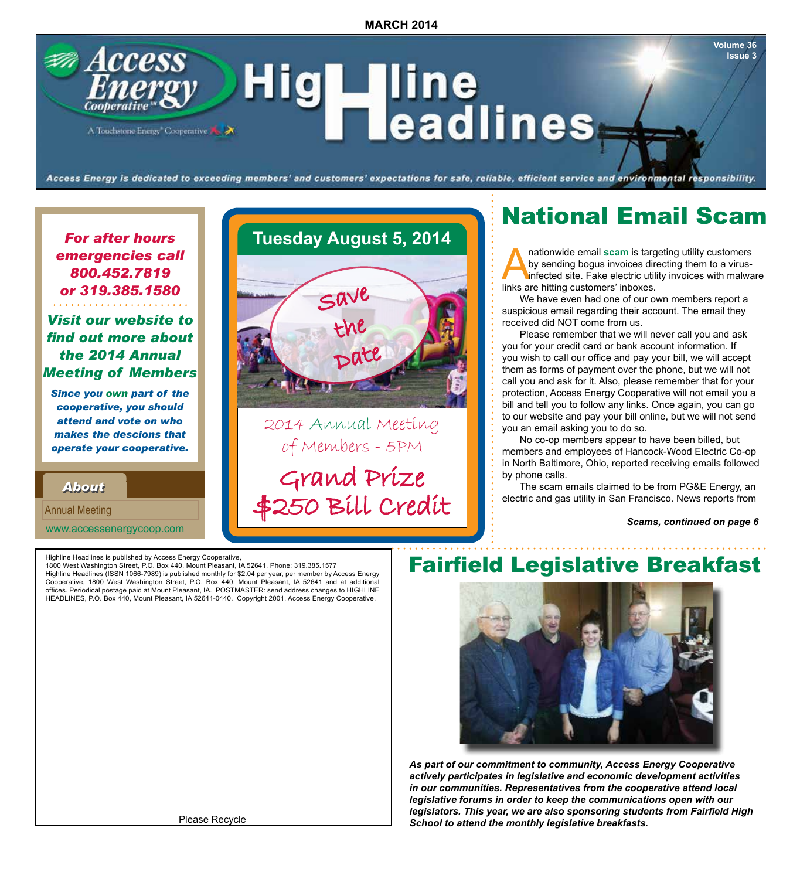## **Access** \_\_line<br>\_\_eadlines Hig I A Touchstone Energy Cooperative

Access Energy is dedicated to exceeding members' and customers' expectations for safe, reliable, efficient service and environmental responsibility.

### *For after hours emergencies call 800.452.7819 or 319.385.1580*

### *Visit our website to find out more about the 2014 Annual Meeting of Members*

*Since you own part of the cooperative, you should attend and vote on who makes the descions that operate your cooperative.*

*About About*

Annual Meeting

www.accessenergycoop.com

## **Tuesday August 5, 2014**



2014 Annual Meeting of Members - 5PM Grand Prize

\$250 Bill Credit

National Email Scam

**Volume 36 Issue 3**

Anationwide email scam is targeting utility customers<br>by sending bogus invoices directing them to a virus-<br>infected site. Fake electric utility invoices with malwa<br>links are hitting customers' inboxes by sending bogus invoices directing them to a virusinfected site. Fake electric utility invoices with malware links are hitting customers' inboxes.

We have even had one of our own members report a suspicious email regarding their account. The email they received did NOT come from us.

Please remember that we will never call you and ask you for your credit card or bank account information. If you wish to call our office and pay your bill, we will accept them as forms of payment over the phone, but we will not call you and ask for it. Also, please remember that for your protection, Access Energy Cooperative will not email you a bill and tell you to follow any links. Once again, you can go to our website and pay your bill online, but we will not send you an email asking you to do so.

No co-op members appear to have been billed, but members and employees of Hancock-Wood Electric Co-op in North Baltimore, Ohio, reported receiving emails followed by phone calls.

The scam emails claimed to be from PG&E Energy, an electric and gas utility in San Francisco. News reports from

 *Scams, continued on page 6*

Highline Headlines is published by Access Energy Cooperative,

1800 West Washington Street, P.O. Box 440, Mount Pleasant, IA 52641, Phone: 319.385.1577 Highline Headlines (ISSN 1066-7989) is published monthly for \$2.04 per year, per member by Access Energy Cooperative, 1800 West Washington Street, P.O. Box 440, Mount Pleasant, IA 52641 and at additional offices. Periodical postage paid at Mount Pleasant, IA. POSTMASTER: send address changes to HIGHLINE HEADLINES, P.O. Box 440, Mount Pleasant, IA 52641-0440. Copyright 2001, Access Energy Cooperative.

## Fairfield Legislative Breakfast



*As part of our commitment to community, Access Energy Cooperative actively participates in legislative and economic development activities in our communities. Representatives from the cooperative attend local legislative forums in order to keep the communications open with our legislators. This year, we are also sponsoring students from Fairfield High School to attend the monthly legislative breakfasts.*

Please Recycle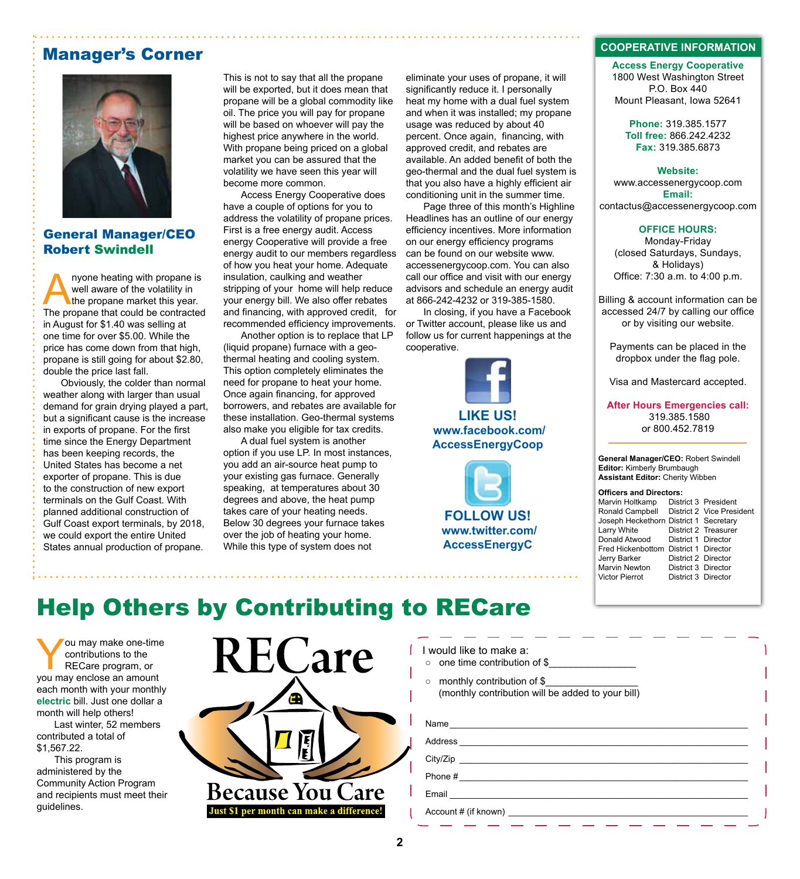### Manager's Corner



#### General Manager/CEO Robert Swindell

nyone heating with propane is well aware of the volatility in the propane market this year. The propane that could be contracted in August for \$1.40 was selling at one time for over \$5.00. While the price has come down from that high, propane is still going for about \$2.80, double the price last fall.

Obviously, the colder than normal weather along with larger than usual demand for grain drying played a part, but a significant cause is the increase in exports of propane. For the first time since the Energy Department has been keeping records, the United States has become a net exporter of propane. This is due to the construction of new export terminals on the Gulf Coast. With planned additional construction of Gulf Coast export terminals, by 2018, we could export the entire United States annual production of propane.

This is not to say that all the propane will be exported, but it does mean that propane will be a global commodity like oil. The price you will pay for propane will be based on whoever will pay the highest price anywhere in the world. With propane being priced on a global market you can be assured that the volatility we have seen this year will become more common.

Access Energy Cooperative does have a couple of options for you to address the volatility of propane prices. First is a free energy audit. Access energy Cooperative will provide a free energy audit to our members regardless of how you heat your home. Adequate insulation, caulking and weather stripping of your home will help reduce your energy bill. We also offer rebates and financing, with approved credit, for recommended efficiency improvements.

Another option is to replace that LP (liquid propane) furnace with a geothermal heating and cooling system. This option completely eliminates the need for propane to heat your home. Once again financing, for approved borrowers, and rebates are available for these installation. Geo-thermal systems also make you eligible for tax credits.

A dual fuel system is another option if you use LP. In most instances, you add an air-source heat pump to your existing gas furnace. Generally speaking, at temperatures about 30 degrees and above, the heat pump takes care of your heating needs. Below 30 degrees your furnace takes over the job of heating your home. While this type of system does not

eliminate your uses of propane, it will significantly reduce it. I personally heat my home with a dual fuel system and when it was installed; my propane usage was reduced by about 40 percent. Once again, financing, with approved credit, and rebates are available. An added benefit of both the geo-thermal and the dual fuel system is that you also have a highly efficient air conditioning unit in the summer time.

Page three of this month's Highline Headlines has an outline of our energy efficiency incentives. More information on our energy efficiency programs can be found on our website www. accessenergycoop.com. You can also call our office and visit with our energy advisors and schedule an energy audit at 866-242-4232 or 319-385-1580.

In closing, if you have a Facebook or Twitter account, please like us and follow us for current happenings at the cooperative.





 **www.twitter.com/ AccessEnergyC**

#### **COOPERATIVE INFORMATION**

**Access Energy Cooperative** 1800 West Washington Street P.O. Box 440 Mount Pleasant, Iowa 52641

> **Phone:** 319.385.1577 **Toll free:** 866.242.4232 **Fax:** 319.385.6873

#### **Website:**

www.accessenergycoop.com **Email:** contactus@accessenergycoop.com

#### **OFFICE HOURS:**

Monday-Friday (closed Saturdays, Sundays, & Holidays) Office: 7:30 a.m. to 4:00 p.m.

Billing & account information can be accessed 24/7 by calling our office or by visiting our website.

Payments can be placed in the dropbox under the flag pole.

Visa and Mastercard accepted.

**After Hours Emergencies call:** 319.385.1580 or 800.452.7819

**General Manager/CEO:** Robert Swindell **Editor:** Kimberly Brumbaugh **Assistant Editor:** Cherity Wibben

### **Officers and Directors:**<br>Marvin Holtkamp Distr

District 3 President Ronald Campbell District 2 Vice President Joseph Heckethorn District 1 Secretary<br>Larry White District 2 Treasurer Larry White **District 2 Treasurer**<br>Donald Atwood **District 1 Director** District 1 Director Fred Hickenbottom District 1 Director Jerry Barker District 2 Director Marvin Newton District 3 Director<br>Victor Pierrot District 3 Director District 3 Director

## Help Others by Contributing to RECare

You may make one-time contributions to the RECare program, or you may enclose an amount each month with your monthly **electric** bill. Just one dollar a month will help others!

Last winter, 52 members contributed a total of \$1,567.22.

This program is administered by the Community Action Program and recipients must meet their guidelines.



|  |  | I would like to make a: |  |
|--|--|-------------------------|--|
|  |  |                         |  |

○ one time contribution of \$

○ monthly contribution of \$ (monthly contribution will be added to your bill)

| Email experience and the service of the service of the service of the service of the service of the service of |  |  |
|----------------------------------------------------------------------------------------------------------------|--|--|
|                                                                                                                |  |  |
|                                                                                                                |  |  |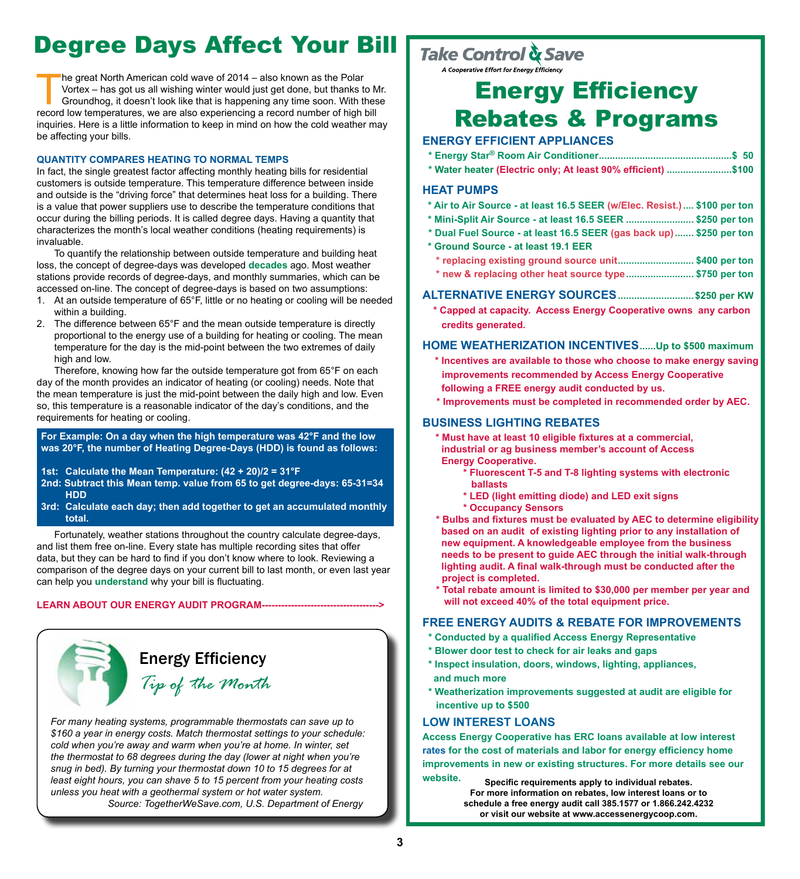# Degree Days Affect Your Bill

The great North American cold wave of 2014 – also known as the Polar<br>Vortex – has got us all wishing winter would just get done, but thanks to<br>Groundhog, it doesn't look like that is happening any time soon. With the<br>recor Vortex – has got us all wishing winter would just get done, but thanks to Mr. Groundhog, it doesn't look like that is happening any time soon. With these record low temperatures, we are also experiencing a record number of high bill inquiries. Here is a little information to keep in mind on how the cold weather may be affecting your bills.

#### **QUANTITY COMPARES HEATING TO NORMAL TEMPS**

In fact, the single greatest factor affecting monthly heating bills for residential customers is outside temperature. This temperature difference between inside and outside is the "driving force" that determines heat loss for a building. There is a value that power suppliers use to describe the temperature conditions that occur during the billing periods. It is called degree days. Having a quantity that characterizes the month's local weather conditions (heating requirements) is invaluable.

To quantify the relationship between outside temperature and building heat loss, the concept of degree-days was developed **decades** ago. Most weather stations provide records of degree-days, and monthly summaries, which can be accessed on-line. The concept of degree-days is based on two assumptions:

- 1. At an outside temperature of 65°F, little or no heating or cooling will be needed within a building.
- 2. The difference between 65°F and the mean outside temperature is directly proportional to the energy use of a building for heating or cooling. The mean temperature for the day is the mid-point between the two extremes of daily high and low.

Therefore, knowing how far the outside temperature got from 65°F on each day of the month provides an indicator of heating (or cooling) needs. Note that the mean temperature is just the mid-point between the daily high and low. Even so, this temperature is a reasonable indicator of the day's conditions, and the requirements for heating or cooling.

#### **For Example: On a day when the high temperature was 42°F and the low was 20°F, the number of Heating Degree-Days (HDD) is found as follows:**

- **1st: Calculate the Mean Temperature: (42 + 20)/2 = 31°F**
- **2nd: Subtract this Mean temp. value from 65 to get degree-days: 65-31=34 HDD**
- **3rd: Calculate each day; then add together to get an accumulated monthly total.**

Fortunately, weather stations throughout the country calculate degree-days, and list them free on-line. Every state has multiple recording sites that offer data, but they can be hard to find if you don't know where to look. Reviewing a comparison of the degree days on your current bill to last month, or even last year can help you **understand** why your bill is fluctuating.

**LEARN ABOUT OUR ENERGY AUDIT PROGRAM------------------------------------>**



*For many heating systems, programmable thermostats can save up to \$160 a year in energy costs. Match thermostat settings to your schedule: cold when you're away and warm when you're at home. In winter, set the thermostat to 68 degrees during the day (lower at night when you're snug in bed). By turning your thermostat down 10 to 15 degrees for at least eight hours, you can shave 5 to 15 percent from your heating costs unless you heat with a geothermal system or hot water system. Source: TogetherWeSave.com, U.S. Department of Energy*

### Take Control & Save

A Cooperative Effort for Energy Efficiency

## Energy Efficiency Rebates & Programs

#### **ENERGY EFFICIENT APPLIANCES**

- **\* Energy Star® Room Air Conditioner.................................................\$ 50**
- **\* Water heater (Electric only; At least 90% efficient) ........................\$100**

#### **HEAT PUMPS**

- **\* Air to Air Source at least 16.5 SEER (w/Elec. Resist.).... \$100 per ton**
- **\* Mini-Split Air Source at least 16.5 SEER ......................... \$250 per ton**
- **\* Dual Fuel Source at least 16.5 SEER (gas back up)....... \$250 per ton**
- **\* Ground Source at least 19.1 EER**
	- **\* replacing existing ground source unit............................ \$400 per ton**
	- **\* new & replacing other heat source type......................... \$750 per ton**

#### **ALTERNATIVE ENERGY SOURCES............................\$250 per KW**

 **\* Capped at capacity. Access Energy Cooperative owns any carbon credits generated.**

#### **HOME WEATHERIZATION INCENTIVES......Up to \$500 maximum**

- **\* Incentives are available to those who choose to make energy saving improvements recommended by Access Energy Cooperative following a FREE energy audit conducted by us.**
- **\* Improvements must be completed in recommended order by AEC.**

#### **BUSINESS LIGHTING REBATES**

- **\* Must have at least 10 eligible fixtures at a commercial, industrial or ag business member's account of Access Energy Cooperative.**
	- **\* Fluorescent T-5 and T-8 lighting systems with electronic ballasts**
	- **\* LED (light emitting diode) and LED exit signs**
	- **\* Occupancy Sensors**
- **\* Bulbs and fixtures must be evaluated by AEC to determine eligibility based on an audit of existing lighting prior to any installation of new equipment. A knowledgeable employee from the business needs to be present to guide AEC through the initial walk-through lighting audit. A final walk-through must be conducted after the project is completed.**
- **\* Total rebate amount is limited to \$30,000 per member per year and will not exceed 40% of the total equipment price.**

#### **FREE ENERGY AUDITS & REBATE FOR IMPROVEMENTS**

- **\* Conducted by a qualified Access Energy Representative**
- **\* Blower door test to check for air leaks and gaps**
- **\* Inspect insulation, doors, windows, lighting, appliances, and much more**
- **\* Weatherization improvements suggested at audit are eligible for incentive up to \$500**

#### **LOW INTEREST LOANS**

**Access Energy Cooperative has ERC loans available at low interest rates for the cost of materials and labor for energy efficiency home improvements in new or existing structures. For more details see our website.**

**Specific requirements apply to individual rebates. For more information on rebates, low interest loans or to schedule a free energy audit call 385.1577 or 1.866.242.4232 or visit our website at www.accessenergycoop.com.**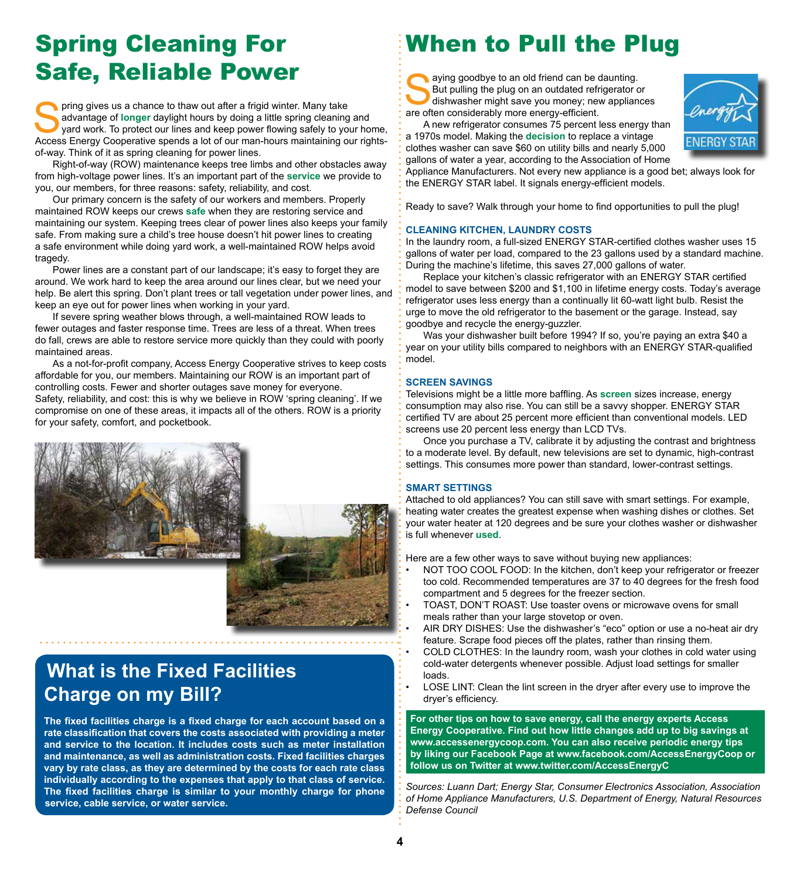## Spring Cleaning For Safe, Reliable Power

pring gives us a chance to thaw out after a frigid winter. Many take advantage of **longer** daylight hours by doing a little spring cleaning and yard work. To protect our lines and keep power flowing safely to your home, Access Energy Cooperative spends a lot of our man-hours maintaining our rightsof-way. Think of it as spring cleaning for power lines.

Right-of-way (ROW) maintenance keeps tree limbs and other obstacles away from high-voltage power lines. It's an important part of the **service** we provide to you, our members, for three reasons: safety, reliability, and cost.

Our primary concern is the safety of our workers and members. Properly maintained ROW keeps our crews **safe** when they are restoring service and maintaining our system. Keeping trees clear of power lines also keeps your family safe. From making sure a child's tree house doesn't hit power lines to creating a safe environment while doing yard work, a well-maintained ROW helps avoid tragedy.

Power lines are a constant part of our landscape; it's easy to forget they are around. We work hard to keep the area around our lines clear, but we need your help. Be alert this spring. Don't plant trees or tall vegetation under power lines, and keep an eye out for power lines when working in your yard.

If severe spring weather blows through, a well-maintained ROW leads to fewer outages and faster response time. Trees are less of a threat. When trees do fall, crews are able to restore service more quickly than they could with poorly maintained areas.

As a not-for-profit company, Access Energy Cooperative strives to keep costs affordable for you, our members. Maintaining our ROW is an important part of controlling costs. Fewer and shorter outages save money for everyone. Safety, reliability, and cost: this is why we believe in ROW 'spring cleaning'. If we compromise on one of these areas, it impacts all of the others. ROW is a priority for your safety, comfort, and pocketbook.



## **What is the Fixed Facilities Charge on my Bill?**

**The fixed facilities charge is a fixed charge for each account based on a rate classification that covers the costs associated with providing a meter and service to the location. It includes costs such as meter installation and maintenance, as well as administration costs. Fixed facilities charges vary by rate class, as they are determined by the costs for each rate class individually according to the expenses that apply to that class of service. The fixed facilities charge is similar to your monthly charge for phone service, cable service, or water service.**

# When to Pull the Plug

aying goodbye to an old friend can be daunting.<br>But pulling the plug on an outdated refrigerator of<br>dishwasher might save you money; new appliance<br>are often considerably more energy-efficient But pulling the plug on an outdated refrigerator or dishwasher might save you money; new appliances are often considerably more energy-efficient.



A new refrigerator consumes 75 percent less energy than a 1970s model. Making the **decision** to replace a vintage clothes washer can save \$60 on utility bills and nearly 5,000

gallons of water a year, according to the Association of Home Appliance Manufacturers. Not every new appliance is a good bet; always look for the ENERGY STAR label. It signals energy-efficient models.

Ready to save? Walk through your home to find opportunities to pull the plug!

#### **CLEANING KITCHEN, LAUNDRY COSTS**

In the laundry room, a full-sized ENERGY STAR-certified clothes washer uses 15 gallons of water per load, compared to the 23 gallons used by a standard machine. During the machine's lifetime, this saves 27,000 gallons of water.

Replace your kitchen's classic refrigerator with an ENERGY STAR certified model to save between \$200 and \$1,100 in lifetime energy costs. Today's average refrigerator uses less energy than a continually lit 60-watt light bulb. Resist the urge to move the old refrigerator to the basement or the garage. Instead, say goodbye and recycle the energy-guzzler.

Was your dishwasher built before 1994? If so, you're paying an extra \$40 a year on your utility bills compared to neighbors with an ENERGY STAR-qualified model.

#### **SCREEN SAVINGS**

Televisions might be a little more baffling. As **screen** sizes increase, energy consumption may also rise. You can still be a savvy shopper. ENERGY STAR certified TV are about 25 percent more efficient than conventional models. LED screens use 20 percent less energy than LCD TVs.

Once you purchase a TV, calibrate it by adjusting the contrast and brightness to a moderate level. By default, new televisions are set to dynamic, high-contrast settings. This consumes more power than standard, lower-contrast settings.

#### **SMART SETTINGS**

Attached to old appliances? You can still save with smart settings. For example, heating water creates the greatest expense when washing dishes or clothes. Set your water heater at 120 degrees and be sure your clothes washer or dishwasher is full whenever **used**.

Here are a few other ways to save without buying new appliances:

- NOT TOO COOL FOOD: In the kitchen, don't keep your refrigerator or freezer too cold. Recommended temperatures are 37 to 40 degrees for the fresh food compartment and 5 degrees for the freezer section.
- TOAST, DON'T ROAST: Use toaster ovens or microwave ovens for small meals rather than your large stovetop or oven.
- AIR DRY DISHES: Use the dishwasher's "eco" option or use a no-heat air dry feature. Scrape food pieces off the plates, rather than rinsing them.
- COLD CLOTHES: In the laundry room, wash your clothes in cold water using cold-water detergents whenever possible. Adjust load settings for smaller loads.
- LOSE LINT: Clean the lint screen in the dryer after every use to improve the dryer's efficiency.

**For other tips on how to save energy, call the energy experts Access Energy Cooperative. Find out how little changes add up to big savings at www.accessenergycoop.com. You can also receive periodic energy tips by liking our Facebook Page at www.facebook.com/AccessEnergyCoop or follow us on Twitter at www.twitter.com/AccessEnergyC**

*Sources: Luann Dart; Energy Star, Consumer Electronics Association, Association of Home Appliance Manufacturers, U.S. Department of Energy, Natural Resources Defense Council*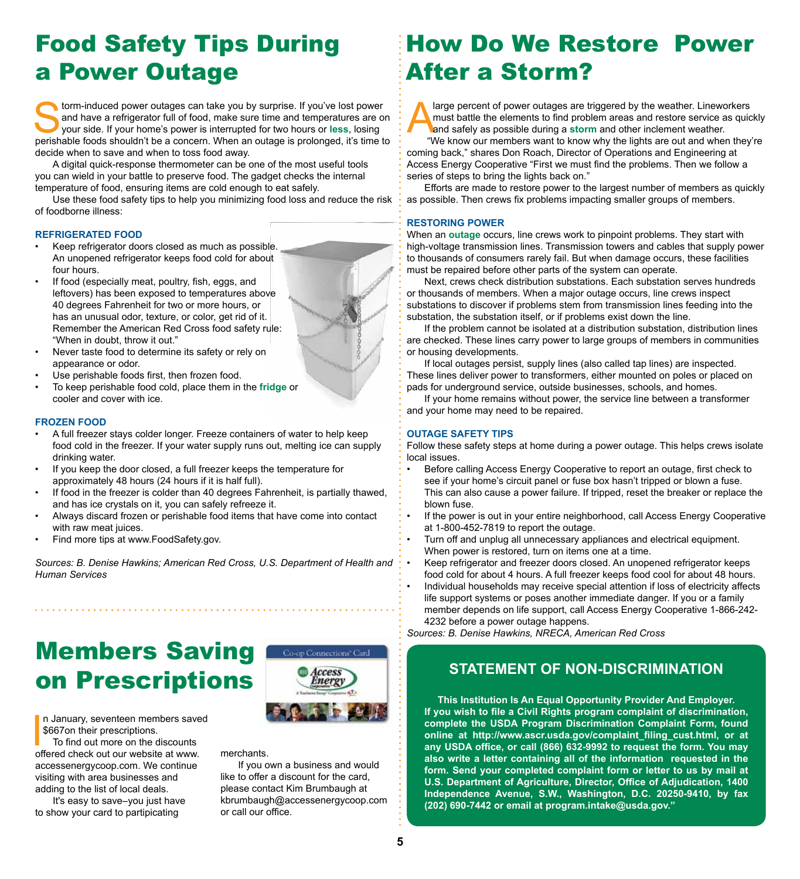## Food Safety Tips During a Power Outage

form-induced power outages can take you by surprise. If you've lost power and have a refrigerator full of food, make sure time and temperatures are or your side. If your home's power is interrupted for two hours or **less**, and have a refrigerator full of food, make sure time and temperatures are on perishable foods shouldn't be a concern. When an outage is prolonged, it's time to decide when to save and when to toss food away.

A digital quick-response thermometer can be one of the most useful tools you can wield in your battle to preserve food. The gadget checks the internal temperature of food, ensuring items are cold enough to eat safely.

Use these food safety tips to help you minimizing food loss and reduce the risk of foodborne illness:

#### **REFRIGERATED FOOD**

- Keep refrigerator doors closed as much as possible. An unopened refrigerator keeps food cold for about four hours.
- If food (especially meat, poultry, fish, eggs, and leftovers) has been exposed to temperatures above 40 degrees Fahrenheit for two or more hours, or has an unusual odor, texture, or color, get rid of it. Remember the American Red Cross food safety rule: "When in doubt, throw it out."
- Never taste food to determine its safety or rely on appearance or odor.
- Use perishable foods first, then frozen food.
- To keep perishable food cold, place them in the **fridge** or cooler and cover with ice.

#### **FROZEN FOOD**

- A full freezer stays colder longer. Freeze containers of water to help keep food cold in the freezer. If your water supply runs out, melting ice can supply drinking water.
- If you keep the door closed, a full freezer keeps the temperature for approximately 48 hours (24 hours if it is half full).

- If food in the freezer is colder than 40 degrees Fahrenheit, is partially thawed, and has ice crystals on it, you can safely refreeze it.
- Always discard frozen or perishable food items that have come into contact with raw meat juices.
- Find more tips at www.FoodSafety.gov.

*Sources: B. Denise Hawkins; American Red Cross, U.S. Department of Health and Human Services*

# Members Saving on Prescriptions

n January, seventeen members saved \$667on their prescriptions.

In January, seventeen members save<br>\$667on their prescriptions.<br>To find out more on the discounts<br>offered check out our website at www. To find out more on the discounts accessenergycoop.com. We continue visiting with area businesses and adding to the list of local deals.

It's easy to save–you just have to show your card to partipicating



merchants.

If you own a business and would like to offer a discount for the card, please contact Kim Brumbaugh at kbrumbaugh@accessenergycoop.com or call our office.

## How Do We Restore Power After a Storm?

A large percent of power outages are triggered by the weather. Lineworkers<br>
must battle the elements to find problem areas and restore service as quic<br>
and safely as possible during a **storm** and other inclement weather.<br> must battle the elements to find problem areas and restore service as quickly and safely as possible during a **storm** and other inclement weather.

 "We know our members want to know why the lights are out and when they're coming back," shares Don Roach, Director of Operations and Engineering at Access Energy Cooperative "First we must find the problems. Then we follow a series of steps to bring the lights back on."

Efforts are made to restore power to the largest number of members as quickly as possible. Then crews fix problems impacting smaller groups of members.

#### **RESTORING POWER**

When an **outage** occurs, line crews work to pinpoint problems. They start with high-voltage transmission lines. Transmission towers and cables that supply power to thousands of consumers rarely fail. But when damage occurs, these facilities must be repaired before other parts of the system can operate.

Next, crews check distribution substations. Each substation serves hundreds or thousands of members. When a major outage occurs, line crews inspect substations to discover if problems stem from transmission lines feeding into the substation, the substation itself, or if problems exist down the line.

If the problem cannot be isolated at a distribution substation, distribution lines are checked. These lines carry power to large groups of members in communities or housing developments.

If local outages persist, supply lines (also called tap lines) are inspected. These lines deliver power to transformers, either mounted on poles or placed on pads for underground service, outside businesses, schools, and homes.

If your home remains without power, the service line between a transformer and your home may need to be repaired.

#### **OUTAGE SAFETY TIPS**

Follow these safety steps at home during a power outage. This helps crews isolate local issues.

- Before calling Access Energy Cooperative to report an outage, first check to see if your home's circuit panel or fuse box hasn't tripped or blown a fuse. This can also cause a power failure. If tripped, reset the breaker or replace the blown fuse.
- If the power is out in your entire neighborhood, call Access Energy Cooperative at 1-800-452-7819 to report the outage.
- Turn off and unplug all unnecessary appliances and electrical equipment. When power is restored, turn on items one at a time.
- Keep refrigerator and freezer doors closed. An unopened refrigerator keeps food cold for about 4 hours. A full freezer keeps food cool for about 48 hours. • Individual households may receive special attention if loss of electricity affects life support systems or poses another immediate danger. If you or a family member depends on life support, call Access Energy Cooperative 1-866-242- 4232 before a power outage happens.

*Sources: B. Denise Hawkins, NRECA, American Red Cross*

### **STATEMENT OF NON-DISCRIMINATION**

**This Institution Is An Equal Opportunity Provider And Employer. If you wish to file a Civil Rights program complaint of discrimination, complete the USDA Program Discrimination Complaint Form, found online at http://www.ascr.usda.gov/complaint\_filing\_cust.html, or at any USDA office, or call (866) 632-9992 to request the form. You may also write a letter containing all of the information requested in the form. Send your completed complaint form or letter to us by mail at U.S. Department of Agriculture, Director, Office of Adjudication, 1400 Independence Avenue, S.W., Washington, D.C. 20250-9410, by fax (202) 690-7442 or email at program.intake@usda.gov."**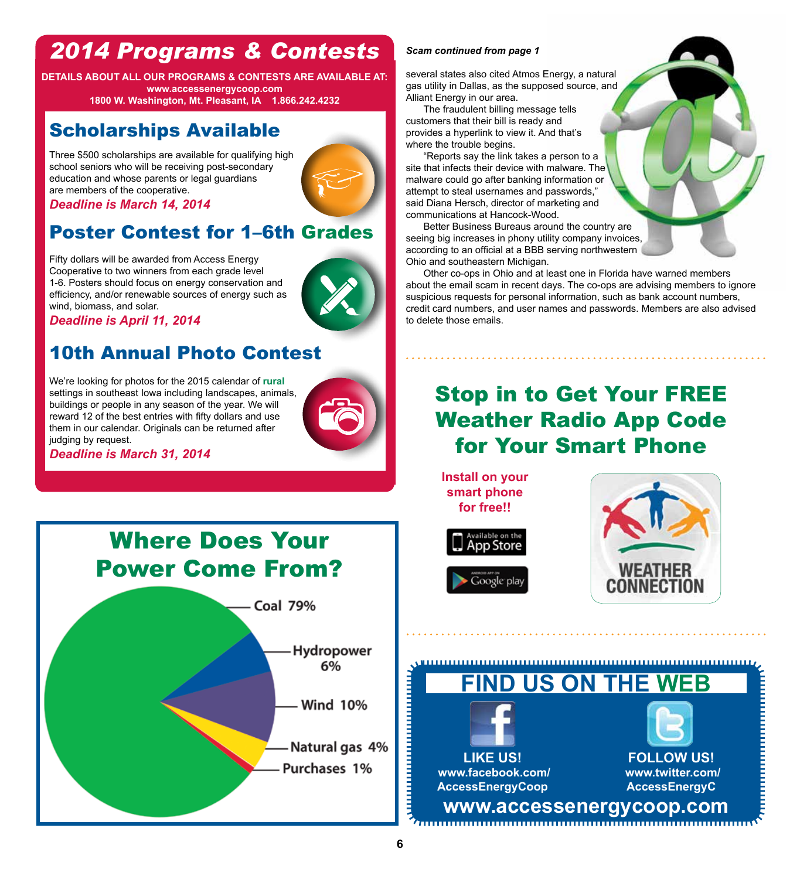# *2014 Programs & Contests*

**DETAILS ABOUT ALL OUR PROGRAMS & CONTESTS ARE AVAILABLE AT: www.accessenergycoop.com 1800 W. Washington, Mt. Pleasant, IA 1.866.242.4232**

## Scholarships Available

Three \$500 scholarships are available for qualifying high school seniors who will be receiving post-secondary education and whose parents or legal guardians are members of the cooperative.

*Deadline is March 14, 2014*

### Poster Contest for 1–6th Grades

Fifty dollars will be awarded from Access Energy Cooperative to two winners from each grade level 1-6. Posters should focus on energy conservation and efficiency, and/or renewable sources of energy such as wind, biomass, and solar.

*Deadline is April 11, 2014*

### 10th Annual Photo Contest

We're looking for photos for the 2015 calendar of **rural** settings in southeast Iowa including landscapes, animals, buildings or people in any season of the year. We will reward 12 of the best entries with fifty dollars and use them in our calendar. Originals can be returned after judging by request.



*Deadline is March 31, 2014*



#### *Scam continued from page 1*

several states also cited Atmos Energy, a natural gas utility in Dallas, as the supposed source, and Alliant Energy in our area.

The fraudulent billing message tells customers that their bill is ready and provides a hyperlink to view it. And that's where the trouble begins.

"Reports say the link takes a person to a site that infects their device with malware. The malware could go after banking information or attempt to steal usernames and passwords," said Diana Hersch, director of marketing and communications at Hancock-Wood.

Better Business Bureaus around the country are seeing big increases in phony utility company invoices, according to an official at a BBB serving northwestern Ohio and southeastern Michigan.

Other co-ops in Ohio and at least one in Florida have warned members about the email scam in recent days. The co-ops are advising members to ignore suspicious requests for personal information, such as bank account numbers, credit card numbers, and user names and passwords. Members are also advised to delete those emails.

## Stop in to Get Your FREE Weather Radio App Code for Your Smart Phone

**Install on your smart phone for free!!**



**LIKE US! www.facebook.com/ AccessEnergyCoop**



**FOLLOW US! www.twitter.com/ AccessEnergyC**

**www.accessenergycoop.com**

**FIND US ON THE WEB**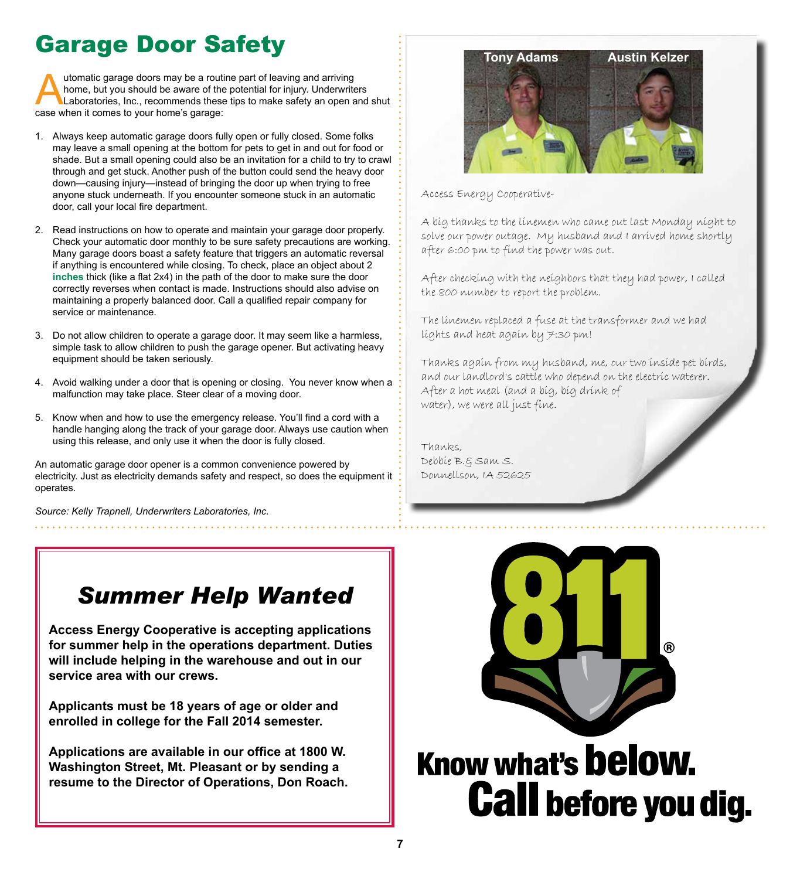# Garage Door Safety

utomatic garage doors may be a routine part of leaving and arriving<br>home, but you should be aware of the potential for injury. Underwrite<br>Laboratories, Inc., recommends these tips to make safety an open a<br>case when it come home, but you should be aware of the potential for injury. Underwriters Laboratories, Inc., recommends these tips to make safety an open and shut case when it comes to your home's garage:

- 1. Always keep automatic garage doors fully open or fully closed. Some folks may leave a small opening at the bottom for pets to get in and out for food or shade. But a small opening could also be an invitation for a child to try to crawl through and get stuck. Another push of the button could send the heavy door down—causing injury—instead of bringing the door up when trying to free anyone stuck underneath. If you encounter someone stuck in an automatic door, call your local fire department.
- 2. Read instructions on how to operate and maintain your garage door properly. Check your automatic door monthly to be sure safety precautions are working. Many garage doors boast a safety feature that triggers an automatic reversal if anything is encountered while closing. To check, place an object about 2 **inches** thick (like a flat 2x4) in the path of the door to make sure the door correctly reverses when contact is made. Instructions should also advise on maintaining a properly balanced door. Call a qualified repair company for service or maintenance.
- 3. Do not allow children to operate a garage door. It may seem like a harmless, simple task to allow children to push the garage opener. But activating heavy equipment should be taken seriously.
- 4. Avoid walking under a door that is opening or closing. You never know when a malfunction may take place. Steer clear of a moving door.
- 5. Know when and how to use the emergency release. You'll find a cord with a handle hanging along the track of your garage door. Always use caution when using this release, and only use it when the door is fully closed.

An automatic garage door opener is a common convenience powered by electricity. Just as electricity demands safety and respect, so does the equipment it operates.

*Source: Kelly Trapnell, Underwriters Laboratories, Inc.*



Access Energy Cooperative-

A big thanks to the linemen who came out last Monday night to solve our power outage. My husband and I arrived home shortly after 6:00 pm to find the power was out.

After checking with the neighbors that they had power, I called the 800 number to report the problem.

The linemen replaced a fuse at the transformer and we had lights and heat again by 7:30 pm!

Thanks again from my husband, me, our two inside pet birds, and our landlord's cattle who depend on the electric waterer. After a hot meal (and a big, big drink of water), we were all just fine.

Thanks, Debbie B.& Sam S. Donnellson, IA 52625

# *Summer Help Wanted*

**Access Energy Cooperative is accepting applications for summer help in the operations department. Duties will include helping in the warehouse and out in our service area with our crews.**

**Applicants must be 18 years of age or older and enrolled in college for the Fall 2014 semester.**

**Applications are available in our office at 1800 W. Washington Street, Mt. Pleasant or by sending a resume to the Director of Operations, Don Roach.**